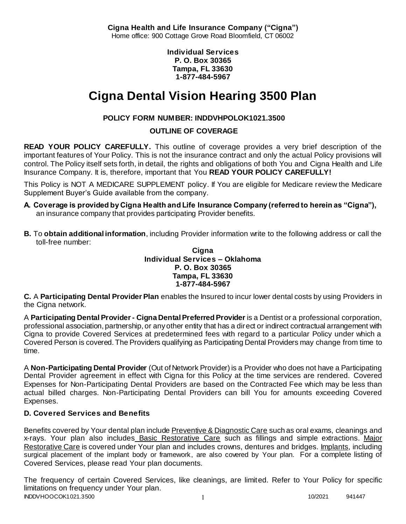**Cigna Health and Life Insurance Company ("Cigna")** Home office: 900 Cottage Grove Road Bloomfield, CT 06002

> **Individual Services P. O. Box 30365 Tampa, FL 33630 1-877-484-5967**

# **Cigna Dental Vision Hearing 3500 Plan**

# **POLICY FORM NUMBER: INDDVHPOLOK1021.3500**

**OUTLINE OF COVERAGE** 

**READ YOUR POLICY CAREFULLY.** This outline of coverage provides a very brief description of the important features of Your Policy. This is not the insurance contract and only the actual Policy provisions will control. The Policy itself sets forth, in detail, the rights and obligations of both You and Cigna Health and Life Insurance Company. It is, therefore, important that You **READ YOUR POLICY CAREFULLY!** 

This Policy is NOT A MEDICARE SUPPLEMENT policy. If You are eligible for Medicare review the Medicare Supplement Buyer's Guide available from the company.

- **A. Coverage is provided by Cigna Health and Life Insurance Company (referred to herein as "Cigna"),**  an insurance company that provides participating Provider benefits.
- **B.** To **obtain additional information**, including Provider information write to the following address or call the toll-free number:

**Cigna Individual Services – Oklahoma P. O. Box 30365 Tampa, FL 33630 1-877-484-5967**

**C.** A **Participating Dental Provider Plan** enables the Insured to incur lower dental costs by using Providers in the Cigna network.

A **Participating Dental Provider - Cigna Dental Preferred Provider** is a Dentist or a professional corporation, professional association, partnership, or any other entity that has a direct or indirect contractual arrangement with Cigna to provide Covered Services at predetermined fees with regard to a particular Policy under which a Covered Person is covered. The Providers qualifying as Participating Dental Providers may change from time to time.

A **Non-Participating Dental Provider** (Out of Network Provider) is a Provider who does not have a Participating Dental Provider agreement in effect with Cigna for this Policy at the time services are rendered. Covered Expenses for Non-Participating Dental Providers are based on the Contracted Fee which may be less than actual billed charges. Non-Participating Dental Providers can bill You for amounts exceeding Covered Expenses.

# **D. Covered Services and Benefits**

Benefits covered by Your dental plan include Preventive & Diagnostic Care such as oral exams, cleanings and x-rays. Your plan also includes Basic Restorative Care such as fillings and simple extractions. Major Restorative Care is covered under Your plan and includes crowns, dentures and bridges. Implants, including surgical placement of the implant body or framework, are also covered by Your plan. For a complete listing of Covered Services, please read Your plan documents.

INDDVHOOCOK1021.3500 1 10/2021 941447 The frequency of certain Covered Services, like cleanings, are limited. Refer to Your Policy for specific limitations on frequency under Your plan.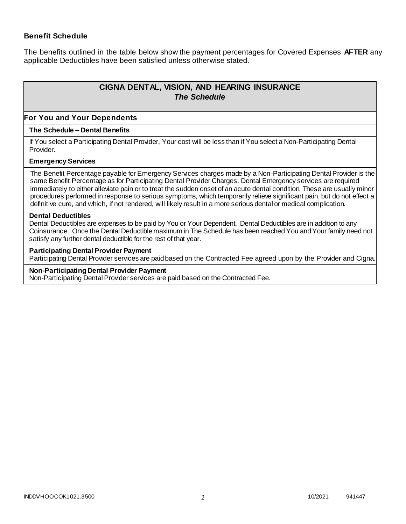### **Benefit Schedule**

The benefits outlined in the table below show the payment percentages for Covered Expenses **AFTER** any applicable Deductibles have been satisfied unless otherwise stated.

# **CIGNA DENTAL, VISION, AND HEARING INSURANCE** *The Schedule*

#### **For You and Your Dependents**

### **The Schedule – Dental Benefits**

If You select a Participating Dental Provider, Your cost will be less than if You select a Non-Participating Dental Provider.

#### **Emergency Services**

The Benefit Percentage payable for Emergency Services charges made by a Non-Participating Dental Provider is the same Benefit Percentage as for Participating Dental Provider Charges. Dental Emergency services are required immediately to either alleviate pain or to treat the sudden onset of an acute dental condition. These are usually minor procedures performed in response to serious symptoms, which temporarily relieve significant pain, but do not effect a definitive cure, and which, if not rendered, will likely result in a more serious dental or medical complication.

#### **Dental Deductibles**

Dental Deductibles are expenses to be paid by You or Your Dependent. Dental Deductibles are in addition to any Coinsurance. Once the Dental Deductible maximum in The Schedule has been reached You and Your family need not satisfy any further dental deductible for the rest of that year.

#### **Participating Dental Provider Payment**

Participating Dental Provider services are paid based on the Contracted Fee agreed upon by the Provider and Cigna.

#### **Non-Participating Dental Provider Payment**

Non-Participating Dental Provider services are paid based on the Contracted Fee.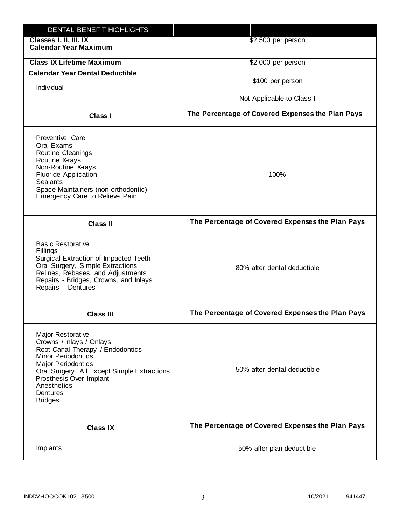| DENTAL BENEFIT HIGHLIGHTS                                                                                                                                                                                                                                                 |                                                  |
|---------------------------------------------------------------------------------------------------------------------------------------------------------------------------------------------------------------------------------------------------------------------------|--------------------------------------------------|
| Classes I, II, III, IX<br><b>Calendar Year Maximum</b>                                                                                                                                                                                                                    | \$2,500 per person                               |
| <b>Class IX Lifetime Maximum</b>                                                                                                                                                                                                                                          | \$2,000 per person                               |
| <b>Calendar Year Dental Deductible</b>                                                                                                                                                                                                                                    |                                                  |
| Individual                                                                                                                                                                                                                                                                | \$100 per person                                 |
|                                                                                                                                                                                                                                                                           | Not Applicable to Class I                        |
| Class I                                                                                                                                                                                                                                                                   | The Percentage of Covered Expenses the Plan Pays |
| Preventive Care<br>Oral Exams<br><b>Routine Cleanings</b><br>Routine X-rays<br>Non-Routine X-rays<br><b>Fluoride Application</b><br><b>Sealants</b><br>Space Maintainers (non-orthodontic)<br>Emergency Care to Relieve Pain                                              | 100%                                             |
| <b>Class II</b>                                                                                                                                                                                                                                                           | The Percentage of Covered Expenses the Plan Pays |
| <b>Basic Restorative</b><br>Fillings<br>Surgical Extraction of Impacted Teeth<br>Oral Surgery, Simple Extractions<br>Relines, Rebases, and Adjustments<br>Repairs - Bridges, Crowns, and Inlays<br>Repairs - Dentures                                                     | 80% after dental deductible                      |
| <b>Class III</b>                                                                                                                                                                                                                                                          | The Percentage of Covered Expenses the Plan Pays |
| <b>Major Restorative</b><br>Crowns / Inlays / Onlays<br>Root Canal Therapy / Endodontics<br><b>Minor Periodontics</b><br><b>Major Periodontics</b><br>Oral Surgery, All Except Simple Extractions<br>Prosthesis Over Implant<br>Anesthetics<br>Dentures<br><b>Bridges</b> | 50% after dental deductible                      |
| <b>Class IX</b>                                                                                                                                                                                                                                                           | The Percentage of Covered Expenses the Plan Pays |
| Implants                                                                                                                                                                                                                                                                  | 50% after plan deductible                        |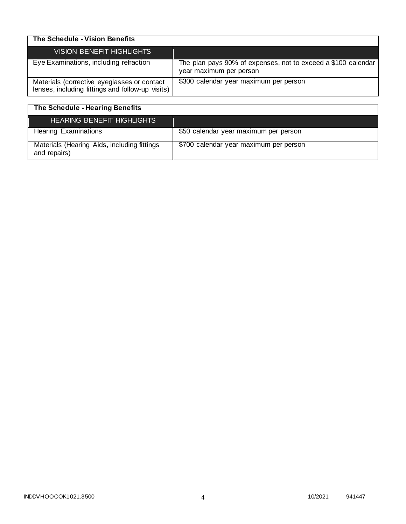| The Schedule - Vision Benefits                                                                  |                                                                                          |
|-------------------------------------------------------------------------------------------------|------------------------------------------------------------------------------------------|
| <b>VISION BENEFIT HIGHLIGHTS</b>                                                                |                                                                                          |
| Eye Examinations, including refraction                                                          | The plan pays 90% of expenses, not to exceed a \$100 calendar<br>year maximum per person |
| Materials (corrective eyeglasses or contact<br>lenses, including fittings and follow-up visits) | \$300 calendar year maximum per person                                                   |

| The Schedule - Hearing Benefits                             |                                        |
|-------------------------------------------------------------|----------------------------------------|
| HEARING BENEFIT HIGHLIGHTS                                  |                                        |
| <b>Hearing Examinations</b>                                 | \$50 calendar year maximum per person  |
| Materials (Hearing Aids, including fittings<br>and repairs) | \$700 calendar year maximum per person |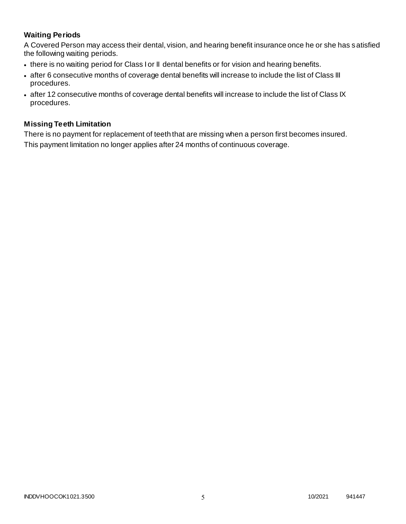# **Waiting Periods**

A Covered Person may access their dental, vision, and hearing benefit insurance once he or she has satisfied the following waiting periods.

- there is no waiting period for Class I or II dental benefits or for vision and hearing benefits.
- after 6 consecutive months of coverage dental benefits will increase to include the list of Class III procedures.
- after 12 consecutive months of coverage dental benefits will increase to include the list of Class IX procedures.

### **Missing Teeth Limitation**

There is no payment for replacement of teeth that are missing when a person first becomes insured. This payment limitation no longer applies after 24 months of continuous coverage.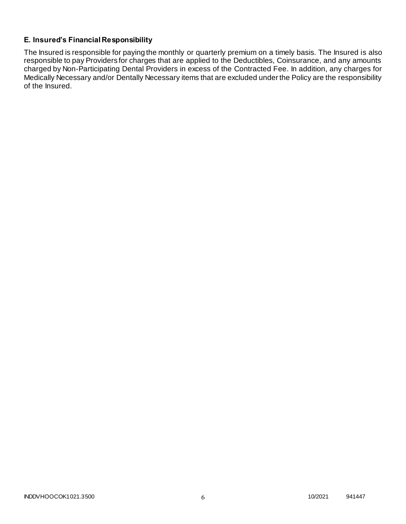# **E. Insured's Financial Responsibility**

The Insured is responsible for paying the monthly or quarterly premium on a timely basis. The Insured is also responsible to pay Providers for charges that are applied to the Deductibles, Coinsurance, and any amounts charged by Non-Participating Dental Providers in excess of the Contracted Fee. In addition, any charges for Medically Necessary and/or Dentally Necessary items that are excluded under the Policy are the responsibility of the Insured.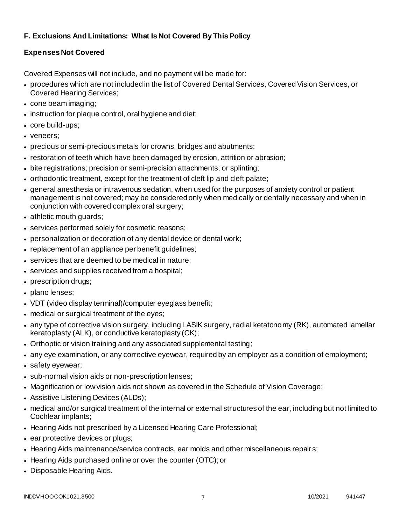# **F. Exclusions And Limitations: What Is Not Covered By This Policy**

# **Expenses Not Covered**

Covered Expenses will not include, and no payment will be made for:

- procedures which are not included in the list of Covered Dental Services, Covered Vision Services, or Covered Hearing Services;
- cone beam imaging;
- instruction for plaque control, oral hygiene and diet;
- core build-ups;
- veneers;
- precious or semi-precious metals for crowns, bridges and abutments;
- restoration of teeth which have been damaged by erosion, attrition or abrasion;
- bite registrations; precision or semi-precision attachments; or splinting;
- orthodontic treatment, except for the treatment of cleft lip and cleft palate;
- general anesthesia or intravenous sedation, when used for the purposes of anxiety control or patient management is not covered; may be considered only when medically or dentally necessary and when in conjunction with covered complex oral surgery;
- athletic mouth guards;
- services performed solely for cosmetic reasons;
- personalization or decoration of any dental device or dental work;
- replacement of an appliance per benefit guidelines;
- services that are deemed to be medical in nature;
- services and supplies received from a hospital;
- prescription drugs;
- plano lenses;
- VDT (video display terminal)/computer eyeglass benefit;
- medical or surgical treatment of the eyes;
- any type of corrective vision surgery, including LASIK surgery, radial ketatonomy (RK), automated lamellar keratoplasty (ALK), or conductive keratoplasty (CK);
- Orthoptic or vision training and any associated supplemental testing;
- any eye examination, or any corrective eyewear, required by an employer as a condition of employment;
- safety eyewear;
- sub-normal vision aids or non-prescription lenses;
- Magnification or low vision aids not shown as covered in the Schedule of Vision Coverage;
- Assistive Listening Devices (ALDs);
- medical and/or surgical treatment of the internal or external structures of the ear, including but not limited to Cochlear implants;
- Hearing Aids not prescribed by a Licensed Hearing Care Professional;
- ear protective devices or plugs;
- Hearing Aids maintenance/service contracts, ear molds and other miscellaneous repair s;
- Hearing Aids purchased online or over the counter (OTC); or
- Disposable Hearing Aids.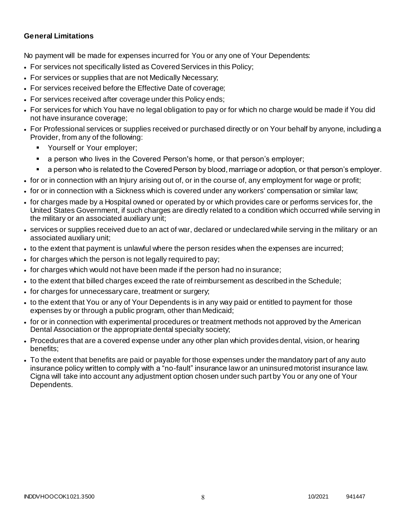### **General Limitations**

No payment will be made for expenses incurred for You or any one of Your Dependents:

- For services not specifically listed as Covered Services in this Policy;
- For services or supplies that are not Medically Necessary;
- For services received before the Effective Date of coverage;
- For services received after coverage under this Policy ends;
- For services for which You have no legal obligation to pay or for which no charge would be made if You did not have insurance coverage;
- For Professional services or supplies received or purchased directly or on Your behalf by anyone, including a Provider, from any of the following:
	- Yourself or Your employer;
	- a person who lives in the Covered Person's home, or that person's employer;
	- a person who is related to the Covered Person by blood, marriage or adoption, or that person's employer.
- for or in connection with an Injury arising out of, or in the course of, any employment for wage or profit;
- for or in connection with a Sickness which is covered under any workers' compensation or similar law;
- for charges made by a Hospital owned or operated by or which provides care or performs services for, the United States Government, if such charges are directly related to a condition which occurred while serving in the military or an associated auxiliary unit;
- services or supplies received due to an act of war, declared or undeclared while serving in the military or an associated auxiliary unit;
- to the extent that payment is unlawful where the person resides when the expenses are incurred;
- for charges which the person is not legally required to pay;
- for charges which would not have been made if the person had no insurance;
- to the extent that billed charges exceed the rate of reimbursement as described in the Schedule;
- for charges for unnecessary care, treatment or surgery;
- to the extent that You or any of Your Dependents is in any way paid or entitled to payment for those expenses by or through a public program, other than Medicaid;
- for or in connection with experimental procedures or treatment methods not approved by the American Dental Association or the appropriate dental specialty society;
- Procedures that are a covered expense under any other plan which provides dental, vision, or hearing benefits;
- To the extent that benefits are paid or payable for those expenses under the mandatory part of any auto insurance policy written to comply with a "no-fault" insurance law or an uninsured motorist insurance law. Cigna will take into account any adjustment option chosen under such part by You or any one of Your Dependents.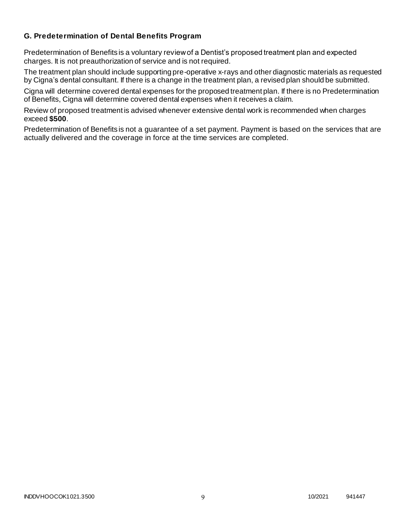### **G. Predetermination of Dental Benefits Program**

Predetermination of Benefits is a voluntary review of a Dentist's proposed treatment plan and expected charges. It is not preauthorization of service and is not required.

The treatment plan should include supporting pre-operative x-rays and other diagnostic materials as requested by Cigna's dental consultant. If there is a change in the treatment plan, a revised plan should be submitted.

Cigna will determine covered dental expenses for the proposed treatment plan. If there is no Predetermination of Benefits, Cigna will determine covered dental expenses when it receives a claim.

Review of proposed treatment is advised whenever extensive dental work is recommended when charges exceed **\$500**.

Predetermination of Benefits is not a guarantee of a set payment. Payment is based on the services that are actually delivered and the coverage in force at the time services are completed.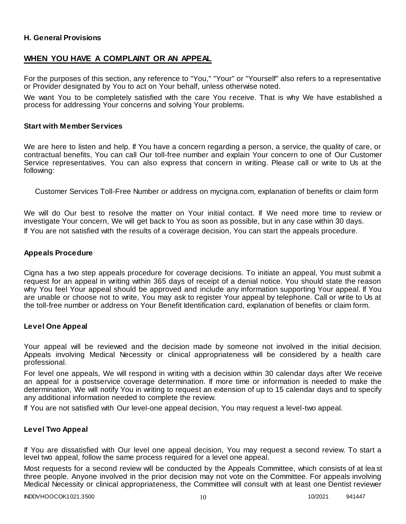### **H. General Provisions**

## **WHEN YOU HAVE A COMPLAINT OR AN APPEAL**

For the purposes of this section, any reference to "You," "Your" or "Yourself" also refers to a representative or Provider designated by You to act on Your behalf, unless otherwise noted.

We want You to be completely satisfied with the care You receive. That is why We have established a process for addressing Your concerns and solving Your problems.

#### **Start with Member Services**

We are here to listen and help. If You have a concern regarding a person, a service, the quality of care, or contractual benefits, You can call Our toll-free number and explain Your concern to one of Our Customer Service representatives. You can also express that concern in writing. Please call or write to Us at the following:

Customer Services Toll-Free Number or address on mycigna.com, explanation of benefits or claim form

We will do Our best to resolve the matter on Your initial contact. If We need more time to review or investigate Your concern, We will get back to You as soon as possible, but in any case within 30 days. If You are not satisfied with the results of a coverage decision, You can start the appeals procedure.

#### **Appeals Procedure**

Cigna has a two step appeals procedure for coverage decisions. To initiate an appeal, You must submit a request for an appeal in writing within 365 days of receipt of a denial notice. You should state the reason why You feel Your appeal should be approved and include any information supporting Your appeal. If You are unable or choose not to write, You may ask to register Your appeal by telephone. Call or write to Us at the toll-free number or address on Your Benefit Identification card, explanation of benefits or claim form.

#### **Level One Appeal**

Your appeal will be reviewed and the decision made by someone not involved in the initial decision. Appeals involving Medical Necessity or clinical appropriateness will be considered by a health care professional.

For level one appeals, We will respond in writing with a decision within 30 calendar days after We receive an appeal for a postservice coverage determination. If more time or information is needed to make the determination, We will notify You in writing to request an extension of up to 15 calendar days and to specify any additional information needed to complete the review.

If You are not satisfied with Our level-one appeal decision, You may request a level-two appeal.

### **Level Two Appeal**

If You are dissatisfied with Our level one appeal decision, You may request a second review. To start a level two appeal, follow the same process required for a level one appeal.

Most requests for a second review will be conducted by the Appeals Committee, which consists of at lea st three people. Anyone involved in the prior decision may not vote on the Committee. For appeals involving Medical Necessity or clinical appropriateness, the Committee will consult with at least one Dentist reviewer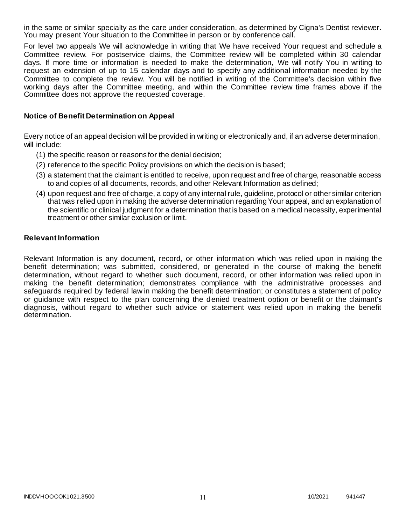in the same or similar specialty as the care under consideration, as determined by Cigna's Dentist reviewer. You may present Your situation to the Committee in person or by conference call.

For level two appeals We will acknowledge in writing that We have received Your request and schedule a Committee review. For postservice claims, the Committee review will be completed within 30 calendar days. If more time or information is needed to make the determination, We will notify You in writing to request an extension of up to 15 calendar days and to specify any additional information needed by the Committee to complete the review. You will be notified in writing of the Committee's decision within five working days after the Committee meeting, and within the Committee review time frames above if the Committee does not approve the requested coverage.

### **Notice of Benefit Determination on Appeal**

Every notice of an appeal decision will be provided in writing or electronically and, if an adverse determination, will include:

- (1) the specific reason or reasons for the denial decision;
- (2) reference to the specific Policy provisions on which the decision is based;
- (3) a statement that the claimant is entitled to receive, upon request and free of charge, reasonable access to and copies of all documents, records, and other Relevant Information as defined;
- (4) upon request and free of charge, a copy of any internal rule, guideline, protocol or other similar criterion that was relied upon in making the adverse determination regarding Your appeal, and an explanation of the scientific or clinical judgment for a determination that is based on a medical necessity, experimental treatment or other similar exclusion or limit.

#### **Relevant Information**

Relevant Information is any document, record, or other information which was relied upon in making the benefit determination; was submitted, considered, or generated in the course of making the benefit determination, without regard to whether such document, record, or other information was relied upon in making the benefit determination; demonstrates compliance with the administrative processes and safeguards required by federal law in making the benefit determination; or constitutes a statement of policy or guidance with respect to the plan concerning the denied treatment option or benefit or the claimant's diagnosis, without regard to whether such advice or statement was relied upon in making the benefit determination.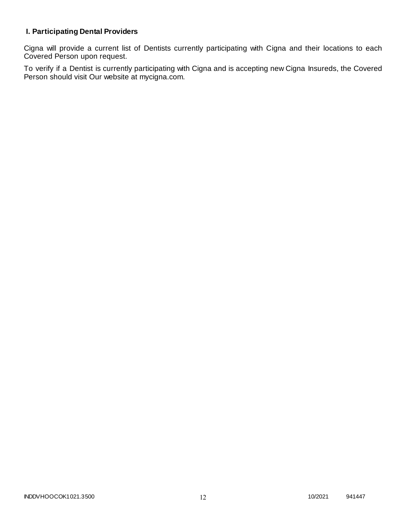# **I. Participating Dental Providers**

Cigna will provide a current list of Dentists currently participating with Cigna and their locations to each Covered Person upon request.

To verify if a Dentist is currently participating with Cigna and is accepting new Cigna Insureds, the Covered Person should visit Our website at mycigna.com.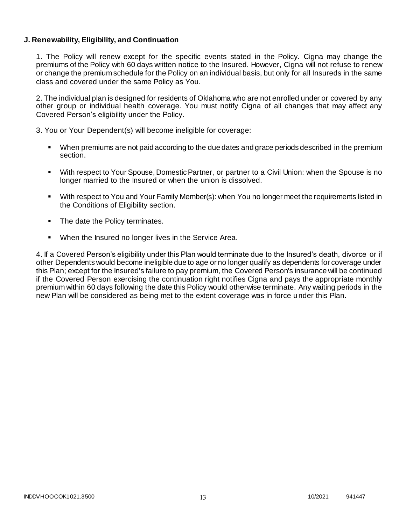### **J. Renewability, Eligibility, and Continuation**

1. The Policy will renew except for the specific events stated in the Policy. Cigna may change the premiums of the Policy with 60 days written notice to the Insured. However, Cigna will not refuse to renew or change the premium schedule for the Policy on an individual basis, but only for all Insureds in the same class and covered under the same Policy as You.

2. The individual plan is designed for residents of Oklahoma who are not enrolled under or covered by any other group or individual health coverage. You must notify Cigna of all changes that may affect any Covered Person's eligibility under the Policy.

3. You or Your Dependent(s) will become ineligible for coverage:

- When premiums are not paid according to the due dates and grace periods described in the premium section.
- With respect to Your Spouse, Domestic Partner, or partner to a Civil Union: when the Spouse is no longer married to the Insured or when the union is dissolved.
- With respect to You and Your Family Member(s): when You no longer meet the requirements listed in the Conditions of Eligibility section.
- The date the Policy terminates.
- When the Insured no longer lives in the Service Area.

4. If a Covered Person's eligibility under this Plan would terminate due to the Insured's death, divorce or if other Dependents would become ineligible due to age or no longer qualify as dependents for coverage under this Plan; except for the Insured's failure to pay premium, the Covered Person's insurance will be continued if the Covered Person exercising the continuation right notifies Cigna and pays the appropriate monthly premium within 60 days following the date this Policy would otherwise terminate. Any waiting periods in the new Plan will be considered as being met to the extent coverage was in force under this Plan.